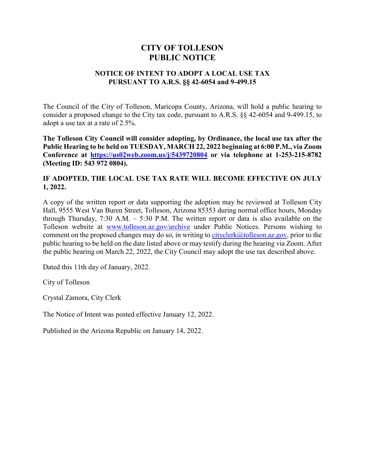# **CITY OF TOLLESON PUBLIC NOTICE**

### **NOTICE OF INTENT TO ADOPT A LOCAL USE TAX PURSUANT TO A.R.S. §§ 42-6054 and 9-499.15**

The Council of the City of Tolleson, Maricopa County, Arizona, will hold a public hearing to consider a proposed change to the City tax code, pursuant to A.R.S. §§ 42-6054 and 9-499.15, to adopt a use tax at a rate of 2.5%.

**The Tolleson City Council will consider adopting, by Ordinance, the local use tax after the Public Hearing to be held on TUESDAY, MARCH 22, 2022 beginning at 6:00 P.M., via Zoom Conference at https[://us02web.zoom.us/j/5439720804](https://us02web.zoom.us/j/5439720804) or via telephone at 1-253-215-8782 (Meeting ID: 543 972 0804).**

## **IF ADOPTED, THE LOCAL USE TAX RATE WILL BECOME EFFECTIVE ON JULY 1, 2022.**

A copy of the written report or data supporting the adoption may be reviewed at Tolleson City Hall, 9555 West Van Buren Street, Tolleson, Arizona 85353 during normal office hours, Monday through Thursday, 7:30 A.M. – 5:30 P.M. The written report or data is also available on the Tolleson website at w[ww.tolleson.az.gov/arch](http://www.tolleson.az.gov/)ive under Public Notices. Persons wishing to comment on the proposed chang[es may do so, in writing](mailto:cityclerk@tolleson.az.gov) to  $cityclerk@tolleson.$ az.gov, prior to the public hearing to be held on the date listed above or may testify during the hearing via Zoom. After the public hearing on March 22, 2022, the City Council may adopt the use tax described above.

Dated this 11th day of January, 2022.

City of Tolleson

Crystal Zamora, City Clerk

The Notice of Intent was posted effective January 12, 2022.

Published in the Arizona Republic on January 14, 2022.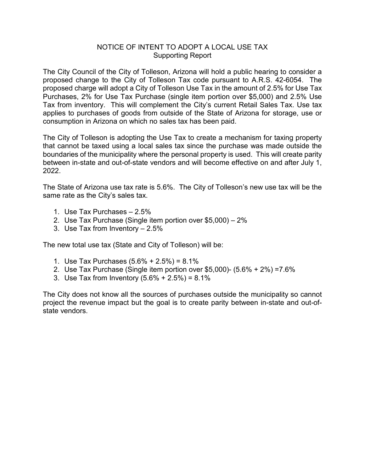## NOTICE OF INTENT TO ADOPT A LOCAL USE TAX Supporting Report

The City Council of the City of Tolleson, Arizona will hold a public hearing to consider a proposed change to the City of Tolleson Tax code pursuant to A.R.S. 42-6054. The proposed charge will adopt a City of Tolleson Use Tax in the amount of 2.5% for Use Tax Purchases, 2% for Use Tax Purchase (single item portion over \$5,000) and 2.5% Use Tax from inventory. This will complement the City's current Retail Sales Tax. Use tax applies to purchases of goods from outside of the State of Arizona for storage, use or consumption in Arizona on which no sales tax has been paid.

The City of Tolleson is adopting the Use Tax to create a mechanism for taxing property that cannot be taxed using a local sales tax since the purchase was made outside the boundaries of the municipality where the personal property is used. This will create parity between in-state and out-of-state vendors and will become effective on and after July 1, 2022.

The State of Arizona use tax rate is 5.6%. The City of Tolleson's new use tax will be the same rate as the City's sales tax.

- 1. Use Tax Purchases 2.5%
- 2. Use Tax Purchase (Single item portion over \$5,000) 2%
- 3. Use Tax from Inventory 2.5%

The new total use tax (State and City of Tolleson) will be:

- 1. Use Tax Purchases (5.6% + 2.5%) = 8.1%
- 2. Use Tax Purchase (Single item portion over \$5,000)- (5.6% + 2%) =7.6%
- 3. Use Tax from Inventory  $(5.6\% + 2.5\%) = 8.1\%$

The City does not know all the sources of purchases outside the municipality so cannot project the revenue impact but the goal is to create parity between in-state and out-ofstate vendors.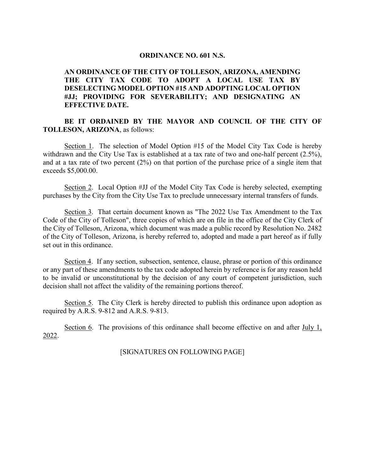#### **ORDINANCE NO. 601 N.S.**

### **AN ORDINANCE OF THE CITY OF TOLLESON, ARIZONA, AMENDING THE CITY TAX CODE TO ADOPT A LOCAL USE TAX BY DESELECTING MODEL OPTION #15 AND ADOPTING LOCAL OPTION #JJ; PROVIDING FOR SEVERABILITY; AND DESIGNATING AN EFFECTIVE DATE.**

#### **BE IT ORDAINED BY THE MAYOR AND COUNCIL OF THE CITY OF TOLLESON, ARIZONA**, as follows:

Section 1. The selection of Model Option #15 of the Model City Tax Code is hereby withdrawn and the City Use Tax is established at a tax rate of two and one-half percent (2.5%), and at a tax rate of two percent (2%) on that portion of the purchase price of a single item that exceeds \$5,000.00.

Section 2. Local Option #JJ of the Model City Tax Code is hereby selected, exempting purchases by the City from the City Use Tax to preclude unnecessary internal transfers of funds.

Section 3. That certain document known as "The 2022 Use Tax Amendment to the Tax Code of the City of Tolleson", three copies of which are on file in the office of the City Clerk of the City of Tolleson, Arizona, which document was made a public record by Resolution No. 2482 of the City of Tolleson, Arizona, is hereby referred to, adopted and made a part hereof as if fully set out in this ordinance.

Section 4. If any section, subsection, sentence, clause, phrase or portion of this ordinance or any part of these amendments to the tax code adopted herein by reference is for any reason held to be invalid or unconstitutional by the decision of any court of competent jurisdiction, such decision shall not affect the validity of the remaining portions thereof.

Section 5. The City Clerk is hereby directed to publish this ordinance upon adoption as required by A.R.S. 9-812 and A.R.S. 9-813.

Section 6. The provisions of this ordinance shall become effective on and after July 1, 2022.

[SIGNATURES ON FOLLOWING PAGE]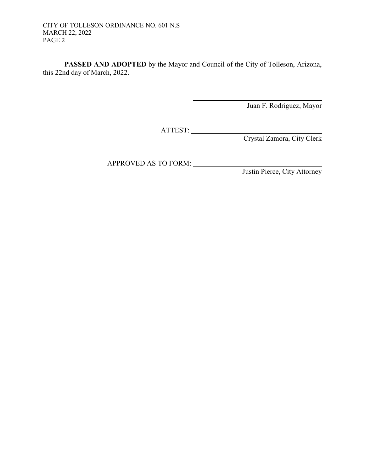**PASSED AND ADOPTED** by the Mayor and Council of the City of Tolleson, Arizona, this 22nd day of March, 2022.

Juan F. Rodriguez, Mayor

ATTEST:

Crystal Zamora, City Clerk

APPROVED AS TO FORM:

Justin Pierce, City Attorney

 $\overline{\phantom{a}}$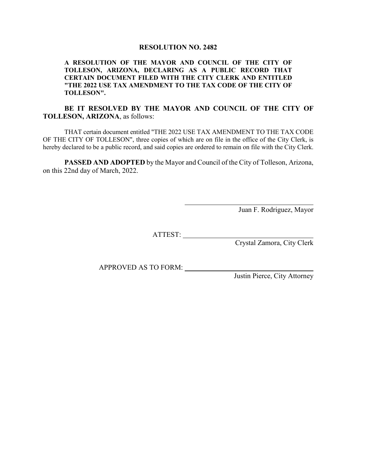#### **RESOLUTION NO. 2482**

#### **A RESOLUTION OF THE MAYOR AND COUNCIL OF THE CITY OF TOLLESON, ARIZONA, DECLARING AS A PUBLIC RECORD THAT CERTAIN DOCUMENT FILED WITH THE CITY CLERK AND ENTITLED "THE 2022 USE TAX AMENDMENT TO THE TAX CODE OF THE CITY OF TOLLESON".**

#### **BE IT RESOLVED BY THE MAYOR AND COUNCIL OF THE CITY OF TOLLESON, ARIZONA**, as follows:

THAT certain document entitled "THE 2022 USE TAX AMENDMENT TO THE TAX CODE OF THE CITY OF TOLLESON", three copies of which are on file in the office of the City Clerk, is hereby declared to be a public record, and said copies are ordered to remain on file with the City Clerk.

**PASSED AND ADOPTED** by the Mayor and Council of the City of Tolleson, Arizona, on this 22nd day of March, 2022.

Juan F. Rodriguez, Mayor

ATTEST:

Crystal Zamora, City Clerk

APPROVED AS TO FORM:

Justin Pierce, City Attorney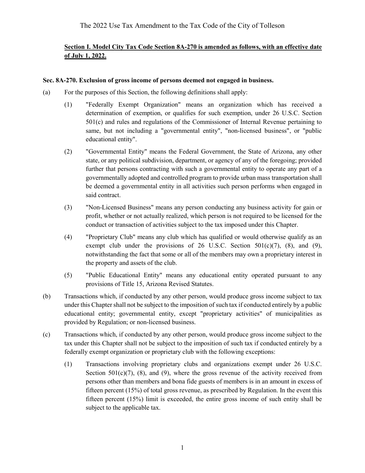## **Section I. Model City Tax Code Section 8A-270 is amended as follows, with an effective date of July 1, 2022.**

### **Sec. 8A-270. Exclusion of gross income of persons deemed not engaged in business.**

- (a) For the purposes of this Section, the following definitions shall apply:
	- (1) "Federally Exempt Organization" means an organization which has received a determination of exemption, or qualifies for such exemption, under 26 U.S.C. Section 501(c) and rules and regulations of the Commissioner of Internal Revenue pertaining to same, but not including a "governmental entity", "non-licensed business", or "public educational entity".
	- (2) "Governmental Entity" means the Federal Government, the State of Arizona, any other state, or any political subdivision, department, or agency of any of the foregoing; provided further that persons contracting with such a governmental entity to operate any part of a governmentally adopted and controlled program to provide urban mass transportation shall be deemed a governmental entity in all activities such person performs when engaged in said contract.
	- (3) "Non-Licensed Business" means any person conducting any business activity for gain or profit, whether or not actually realized, which person is not required to be licensed for the conduct or transaction of activities subject to the tax imposed under this Chapter.
	- (4) "Proprietary Club" means any club which has qualified or would otherwise qualify as an exempt club under the provisions of 26 U.S.C. Section  $501(c)(7)$ , (8), and (9), notwithstanding the fact that some or all of the members may own a proprietary interest in the property and assets of the club.
	- (5) "Public Educational Entity" means any educational entity operated pursuant to any provisions of Title 15, Arizona Revised Statutes.
- (b) Transactions which, if conducted by any other person, would produce gross income subject to tax under this Chapter shall not be subject to the imposition of such tax if conducted entirely by a public educational entity; governmental entity, except "proprietary activities" of municipalities as provided by Regulation; or non-licensed business.
- (c) Transactions which, if conducted by any other person, would produce gross income subject to the tax under this Chapter shall not be subject to the imposition of such tax if conducted entirely by a federally exempt organization or proprietary club with the following exceptions:
	- (1) Transactions involving proprietary clubs and organizations exempt under 26 U.S.C. Section  $501(c)(7)$ ,  $(8)$ , and  $(9)$ , where the gross revenue of the activity received from persons other than members and bona fide guests of members is in an amount in excess of fifteen percent (15%) of total gross revenue, as prescribed by Regulation. In the event this fifteen percent (15%) limit is exceeded, the entire gross income of such entity shall be subject to the applicable tax.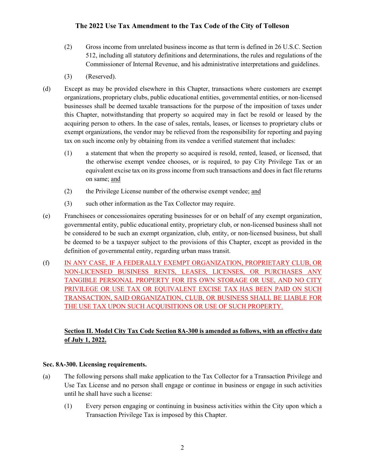- (2) Gross income from unrelated business income as that term is defined in 26 U.S.C. Section 512, including all statutory definitions and determinations, the rules and regulations of the Commissioner of Internal Revenue, and his administrative interpretations and guidelines.
- (3) (Reserved).
- (d) Except as may be provided elsewhere in this Chapter, transactions where customers are exempt organizations, proprietary clubs, public educational entities, governmental entities, or non-licensed businesses shall be deemed taxable transactions for the purpose of the imposition of taxes under this Chapter, notwithstanding that property so acquired may in fact be resold or leased by the acquiring person to others. In the case of sales, rentals, leases, or licenses to proprietary clubs or exempt organizations, the vendor may be relieved from the responsibility for reporting and paying tax on such income only by obtaining from its vendee a verified statement that includes:
	- (1) a statement that when the property so acquired is resold, rented, leased, or licensed, that the otherwise exempt vendee chooses, or is required, to pay City Privilege Tax or an equivalent excise tax on its gross income from such transactions and does in fact file returns on same; and
	- (2) the Privilege License number of the otherwise exempt vendee; and
	- (3) such other information as the Tax Collector may require.
- (e) Franchisees or concessionaires operating businesses for or on behalf of any exempt organization, governmental entity, public educational entity, proprietary club, or non-licensed business shall not be considered to be such an exempt organization, club, entity, or non-licensed business, but shall be deemed to be a taxpayer subject to the provisions of this Chapter, except as provided in the definition of governmental entity, regarding urban mass transit.
- (f) IN ANY CASE, IF A FEDERALLY EXEMPT ORGANIZATION, PROPRIETARY CLUB, OR NON-LICENSED BUSINESS RENTS, LEASES, LICENSES, OR PURCHASES ANY TANGIBLE PERSONAL PROPERTY FOR ITS OWN STORAGE OR USE, AND NO CITY PRIVILEGE OR USE TAX OR EQUIVALENT EXCISE TAX HAS BEEN PAID ON SUCH TRANSACTION, SAID ORGANIZATION, CLUB, OR BUSINESS SHALL BE LIABLE FOR THE USE TAX UPON SUCH ACQUISITIONS OR USE OF SUCH PROPERTY.

## **Section II. Model City Tax Code Section 8A-300 is amended as follows, with an effective date of July 1, 2022.**

### **Sec. 8A-300. Licensing requirements.**

- (a) The following persons shall make application to the Tax Collector for a Transaction Privilege and Use Tax License and no person shall engage or continue in business or engage in such activities until he shall have such a license:
	- (1) Every person engaging or continuing in business activities within the City upon which a Transaction Privilege Tax is imposed by this Chapter.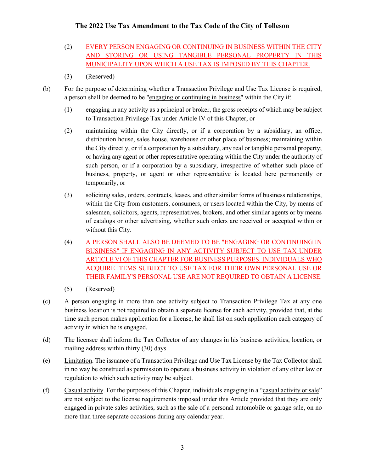- (2) EVERY PERSON ENGAGING OR CONTINUING IN BUSINESS WITHIN THE CITY AND STORING OR USING TANGIBLE PERSONAL PROPERTY IN THIS MUNICIPALITY UPON WHICH A USE TAX IS IMPOSED BY THIS CHAPTER.
- (3) (Reserved)
- (b) For the purpose of determining whether a Transaction Privilege and Use Tax License is required, a person shall be deemed to be "engaging or continuing in business" within the City if:
	- (1) engaging in any activity as a principal or broker, the gross receipts of which may be subject to Transaction Privilege Tax under Article IV of this Chapter, or
	- (2) maintaining within the City directly, or if a corporation by a subsidiary, an office, distribution house, sales house, warehouse or other place of business; maintaining within the City directly, or if a corporation by a subsidiary, any real or tangible personal property; or having any agent or other representative operating within the City under the authority of such person, or if a corporation by a subsidiary, irrespective of whether such place of business, property, or agent or other representative is located here permanently or temporarily, or
	- (3) soliciting sales, orders, contracts, leases, and other similar forms of business relationships, within the City from customers, consumers, or users located within the City, by means of salesmen, solicitors, agents, representatives, brokers, and other similar agents or by means of catalogs or other advertising, whether such orders are received or accepted within or without this City.
	- (4) A PERSON SHALL ALSO BE DEEMED TO BE "ENGAGING OR CONTINUING IN BUSINESS" IF ENGAGING IN ANY ACTIVITY SUBJECT TO USE TAX UNDER ARTICLE VI OF THIS CHAPTER FOR BUSINESS PURPOSES. INDIVIDUALS WHO ACQUIRE ITEMS SUBJECT TO USE TAX FOR THEIR OWN PERSONAL USE OR THEIR FAMILY'S PERSONAL USE ARE NOT REQUIRED TO OBTAIN A LICENSE.
	- (5) (Reserved)
- (c) A person engaging in more than one activity subject to Transaction Privilege Tax at any one business location is not required to obtain a separate license for each activity, provided that, at the time such person makes application for a license, he shall list on such application each category of activity in which he is engaged.
- (d) The licensee shall inform the Tax Collector of any changes in his business activities, location, or mailing address within thirty (30) days.
- (e) Limitation. The issuance of a Transaction Privilege and Use Tax License by the Tax Collector shall in no way be construed as permission to operate a business activity in violation of any other law or regulation to which such activity may be subject.
- (f) Casual activity. For the purposes of this Chapter, individuals engaging in a "casual activity or sale" are not subject to the license requirements imposed under this Article provided that they are only engaged in private sales activities, such as the sale of a personal automobile or garage sale, on no more than three separate occasions during any calendar year.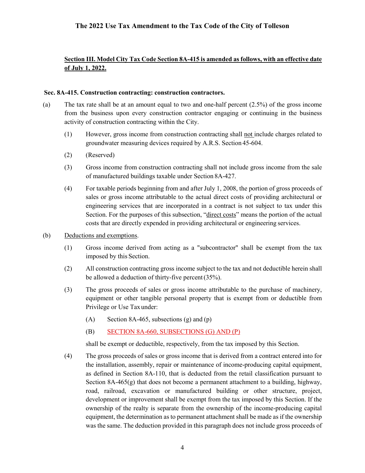### **Section III. Model City Tax Code Section 8A-415 is amended as follows, with an effective date of July 1, 2022.**

#### **Sec. 8A-415. Construction contracting: construction contractors.**

- (a) The tax rate shall be at an amount equal to two and one-half percent (2.5%) of the gross income from the business upon every construction contractor engaging or continuing in the business activity of construction contracting within the City.
	- (1) However, gross income from construction contracting shall not include charges related to groundwater measuring devices required by A.R.S. Section 45-604.
	- (2) (Reserved)
	- (3) Gross income from construction contracting shall not include gross income from the sale of manufactured buildings taxable under Section 8A-427.
	- (4) For taxable periods beginning from and after July 1, 2008, the portion of gross proceeds of sales or gross income attributable to the actual direct costs of providing architectural or engineering services that are incorporated in a contract is not subject to tax under this Section. For the purposes of this subsection, "direct costs" means the portion of the actual costs that are directly expended in providing architectural or engineering services.
- (b) Deductions and exemptions.
	- (1) Gross income derived from acting as a "subcontractor" shall be exempt from the tax imposed by this Section.
	- (2) All construction contracting gross income subject to the tax and not deductible herein shall be allowed a deduction of thirty-five percent(35%).
	- (3) The gross proceeds of sales or gross income attributable to the purchase of machinery, equipment or other tangible personal property that is exempt from or deductible from Privilege or Use Taxunder:
		- (A) Section 8A-465, subsections  $(g)$  and  $(p)$
		- (B) SECTION 8A-660, SUBSECTIONS (G) AND (P)

shall be exempt or deductible, respectively, from the tax imposed by this Section.

(4) The gross proceeds of sales or gross income that is derived from a contract entered into for the installation, assembly, repair or maintenance of income-producing capital equipment, as defined in Section 8A-110, that is deducted from the retail classification pursuant to Section  $8A-465(g)$  that does not become a permanent attachment to a building, highway, road, railroad, excavation or manufactured building or other structure, project, development or improvement shall be exempt from the tax imposed by this Section. If the ownership of the realty is separate from the ownership of the income-producing capital equipment, the determination as to permanent attachment shall be made as if the ownership was the same. The deduction provided in this paragraph does not include gross proceeds of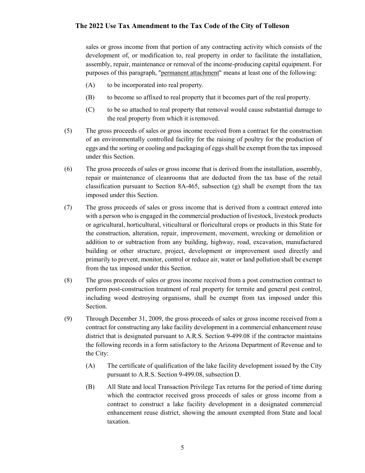sales or gross income from that portion of any contracting activity which consists of the development of, or modification to, real property in order to facilitate the installation, assembly, repair, maintenance or removal of the income-producing capital equipment. For purposes of this paragraph, "permanent attachment" means at least one of the following:

- (A) to be incorporated into real property.
- (B) to become so affixed to real property that it becomes part of the real property.
- (C) to be so attached to real property that removal would cause substantial damage to the real property from which it isremoved.
- (5) The gross proceeds of sales or gross income received from a contract for the construction of an environmentally controlled facility for the raising of poultry for the production of eggs and the sorting or cooling and packaging of eggs shall be exempt from the tax imposed under this Section.
- (6) The gross proceeds of sales or gross income that is derived from the installation, assembly, repair or maintenance of cleanrooms that are deducted from the tax base of the retail classification pursuant to Section 8A-465, subsection  $(g)$  shall be exempt from the tax imposed under this Section.
- (7) The gross proceeds of sales or gross income that is derived from a contract entered into with a person who is engaged in the commercial production of livestock, livestock products or agricultural, horticultural, viticultural or floricultural crops or products in this State for the construction, alteration, repair, improvement, movement, wrecking or demolition or addition to or subtraction from any building, highway, road, excavation, manufactured building or other structure, project, development or improvement used directly and primarily to prevent, monitor, control or reduce air, water or land pollution shall be exempt from the tax imposed under this Section.
- (8) The gross proceeds of sales or gross income received from a post construction contract to perform post-construction treatment of real property for termite and general pest control, including wood destroying organisms, shall be exempt from tax imposed under this Section.
- (9) Through December 31, 2009, the gross proceeds of sales or gross income received from a contract for constructing any lake facility development in a commercial enhancement reuse district that is designated pursuant to A.R.S. Section 9-499.08 if the contractor maintains the following records in a form satisfactory to the Arizona Department of Revenue and to the City:
	- (A) The certificate of qualification of the lake facility development issued by the City pursuant to A.R.S. Section 9-499.08, subsection D.
	- (B) All State and local Transaction Privilege Tax returns for the period of time during which the contractor received gross proceeds of sales or gross income from a contract to construct a lake facility development in a designated commercial enhancement reuse district, showing the amount exempted from State and local taxation.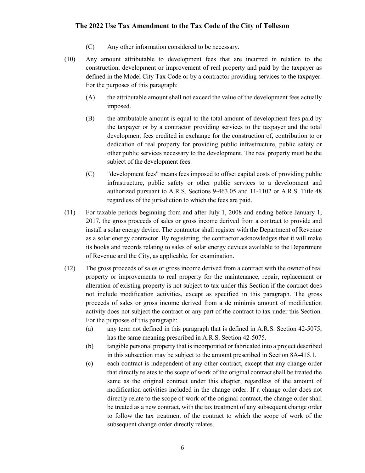- (C) Any other information considered to be necessary.
- (10) Any amount attributable to development fees that are incurred in relation to the construction, development or improvement of real property and paid by the taxpayer as defined in the Model City Tax Code or by a contractor providing services to the taxpayer. For the purposes of this paragraph:
	- (A) the attributable amount shall not exceed the value of the development fees actually imposed.
	- (B) the attributable amount is equal to the total amount of development fees paid by the taxpayer or by a contractor providing services to the taxpayer and the total development fees credited in exchange for the construction of, contribution to or dedication of real property for providing public infrastructure, public safety or other public services necessary to the development. The real property must be the subject of the development fees.
	- (C) "development fees" means fees imposed to offset capital costs of providing public infrastructure, public safety or other public services to a development and authorized pursuant to A.R.S. Sections 9-463.05 and 11-1102 or A.R.S. Title 48 regardless of the jurisdiction to which the fees are paid.
- (11) For taxable periods beginning from and after July 1, 2008 and ending before January 1, 2017, the gross proceeds of sales or gross income derived from a contract to provide and install a solar energy device. The contractor shall register with the Department of Revenue as a solar energy contractor. By registering, the contractor acknowledges that it will make its books and records relating to sales of solar energy devices available to the Department of Revenue and the City, as applicable, for examination.
- (12) The gross proceeds of sales or gross income derived from a contract with the owner of real property or improvements to real property for the maintenance, repair, replacement or alteration of existing property is not subject to tax under this Section if the contract does not include modification activities, except as specified in this paragraph. The gross proceeds of sales or gross income derived from a de minimis amount of modification activity does not subject the contract or any part of the contract to tax under this Section. For the purposes of this paragraph:
	- (a) any term not defined in this paragraph that is defined in A.R.S. Section 42-5075, has the same meaning prescribed in A.R.S. Section 42-5075.
	- (b) tangible personal property that is incorporated or fabricated into a project described in this subsection may be subject to the amount prescribed in Section 8A-415.1.
	- (c) each contract is independent of any other contract, except that any change order that directly relates to the scope of work of the original contract shall be treated the same as the original contract under this chapter, regardless of the amount of modification activities included in the change order. If a change order does not directly relate to the scope of work of the original contract, the change order shall be treated as a new contract, with the tax treatment of any subsequent change order to follow the tax treatment of the contract to which the scope of work of the subsequent change order directly relates.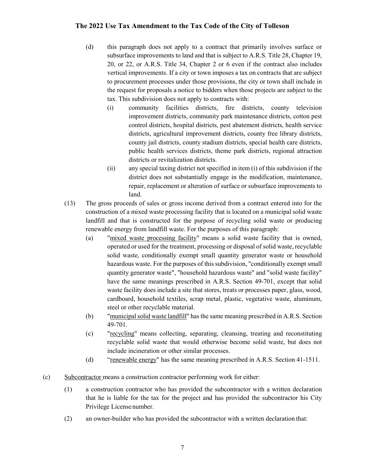- (d) this paragraph does not apply to a contract that primarily involves surface or subsurface improvements to land and that is subject to A.R.S. Title 28, Chapter 19, 20, or 22, or A.R.S. Title 34, Chapter 2 or 6 even if the contract also includes vertical improvements. If a city or town imposes a tax on contracts that are subject to procurement processes under those provisions, the city or town shall include in the request for proposals a notice to bidders when those projects are subject to the tax. This subdivision does not apply to contracts with:
	- (i) community facilities districts, fire districts, county television improvement districts, community park maintenance districts, cotton pest control districts, hospital districts, pest abatement districts, health service districts, agricultural improvement districts, county free library districts, county jail districts, county stadium districts, special health care districts, public health services districts, theme park districts, regional attraction districts or revitalization districts.
	- (ii) any special taxing district not specified in item (i) of this subdivision if the district does not substantially engage in the modification, maintenance, repair, replacement or alteration of surface or subsurface improvements to land.
- (13) The gross proceeds of sales or gross income derived from a contract entered into for the construction of a mixed waste processing facility that is located on a municipal solid waste landfill and that is constructed for the purpose of recycling solid waste or producing renewable energy from landfill waste. For the purposes of this paragraph:
	- (a) "mixed waste processing facility" means a solid waste facility that is owned, operated or used for the treatment, processing or disposal of solid waste, recyclable solid waste, conditionally exempt small quantity generator waste or household hazardous waste. For the purposes of this subdivision, "conditionally exempt small quantity generator waste", "household hazardous waste" and "solid waste facility" have the same meanings prescribed in A.R.S. Section 49-701, except that solid waste facility does include a site that stores, treats or processes paper, glass, wood, cardboard, household textiles, scrap metal, plastic, vegetative waste, aluminum, steel or other recyclable material.
	- (b) "municipal solid waste landfill" has the same meaning prescribed in A.R.S. Section 49-701.
	- (c) "recycling" means collecting, separating, cleansing, treating and reconstituting recyclable solid waste that would otherwise become solid waste, but does not include incineration or other similar processes.
	- (d) "renewable energy" has the same meaning prescribed in A.R.S. Section 41-1511.
- (c) Subcontractor means a construction contractor performing work for either:
	- (1) a construction contractor who has provided the subcontractor with a written declaration that he is liable for the tax for the project and has provided the subcontractor his City Privilege Licensenumber.
	- (2) an owner-builder who has provided the subcontractor with a written declaration that: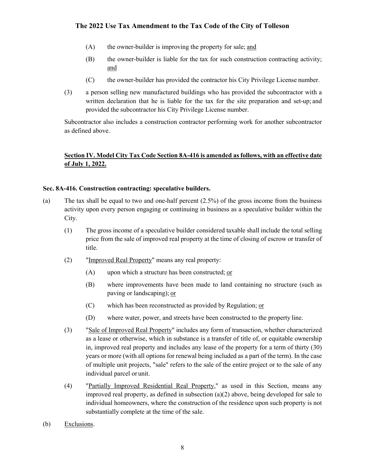- (A) the owner-builder is improving the property for sale; and
- (B) the owner-builder is liable for the tax for such construction contracting activity; and
- (C) the owner-builder has provided the contractor his City Privilege License number.
- (3) a person selling new manufactured buildings who has provided the subcontractor with a written declaration that he is liable for the tax for the site preparation and set-up; and provided the subcontractor his City Privilege License number.

Subcontractor also includes a construction contractor performing work for another subcontractor as defined above.

### **Section IV. Model City Tax Code Section 8A-416 is amended as follows, with an effective date of July 1, 2022.**

#### **Sec. 8A-416. Construction contracting: speculative builders.**

- (a) The tax shall be equal to two and one-half percent  $(2.5\%)$  of the gross income from the business activity upon every person engaging or continuing in business as a speculative builder within the City.
	- (1) The gross income of a speculative builder considered taxable shall include the total selling price from the sale of improved real property at the time of closing of escrow or transfer of title.
	- (2) "Improved Real Property" means any real property:
		- $(A)$  upon which a structure has been constructed; or
		- (B) where improvements have been made to land containing no structure (such as paving or landscaping); or
		- $(C)$  which has been reconstructed as provided by Regulation; or
		- (D) where water, power, and streets have been constructed to the property line.
	- (3) "Sale of Improved Real Property" includes any form of transaction, whether characterized as a lease or otherwise, which in substance is a transfer of title of, or equitable ownership in, improved real property and includes any lease of the property for a term of thirty (30) years or more (with all options for renewal being included as a part of the term). In the case of multiple unit projects, "sale" refers to the sale of the entire project or to the sale of any individual parcel or unit.
	- (4) "Partially Improved Residential Real Property," as used in this Section, means any improved real property, as defined in subsection (a)(2) above, being developed for sale to individual homeowners, where the construction of the residence upon such property is not substantially complete at the time of the sale.
- (b) Exclusions.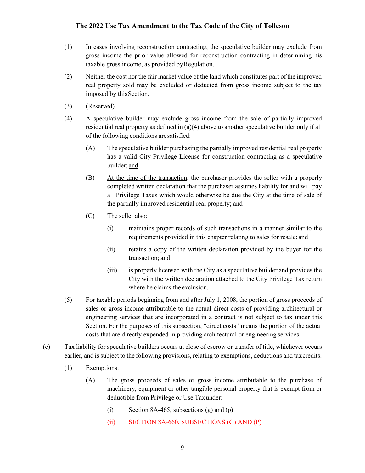- (1) In cases involving reconstruction contracting, the speculative builder may exclude from gross income the prior value allowed for reconstruction contracting in determining his taxable gross income, as provided byRegulation.
- (2) Neither the cost nor the fair market value of the land which constitutes part of the improved real property sold may be excluded or deducted from gross income subject to the tax imposed by thisSection.
- (3) (Reserved)
- (4) A speculative builder may exclude gross income from the sale of partially improved residential real property as defined in (a)(4) above to another speculative builder only if all of the following conditions aresatisfied:
	- (A) The speculative builder purchasing the partially improved residential real property has a valid City Privilege License for construction contracting as a speculative builder; and
	- (B) At the time of the transaction, the purchaser provides the seller with a properly completed written declaration that the purchaser assumes liability for and will pay all Privilege Taxes which would otherwise be due the City at the time of sale of the partially improved residential real property; and
	- (C) The seller also:
		- (i) maintains proper records of such transactions in a manner similar to the requirements provided in this chapter relating to sales for resale; and
		- (ii) retains a copy of the written declaration provided by the buyer for the transaction; and
		- (iii) is properly licensed with the City as a speculative builder and provides the City with the written declaration attached to the City Privilege Tax return where he claims theexclusion.
- (5) For taxable periods beginning from and after July 1, 2008, the portion of gross proceeds of sales or gross income attributable to the actual direct costs of providing architectural or engineering services that are incorporated in a contract is not subject to tax under this Section. For the purposes of this subsection, "direct costs" means the portion of the actual costs that are directly expended in providing architectural or engineering services.
- (c) Tax liability for speculative builders occurs at close of escrow or transfer of title, whichever occurs earlier, and is subject to the following provisions, relating to exemptions, deductions and taxcredits:
	- (1) Exemptions.
		- (A) The gross proceeds of sales or gross income attributable to the purchase of machinery, equipment or other tangible personal property that is exempt from or deductible from Privilege or Use Taxunder:
			- (i) Section 8A-465, subsections (g) and  $(p)$
			- (ii) SECTION 8A-660, SUBSECTIONS (G) AND (P)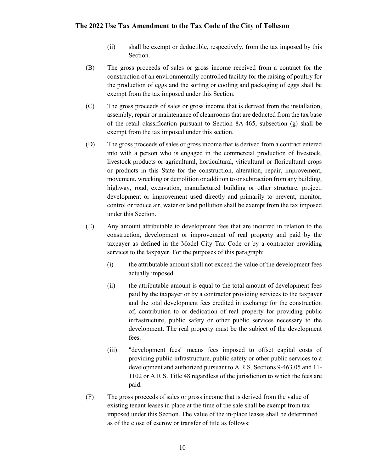- (ii) shall be exempt or deductible, respectively, from the tax imposed by this Section.
- (B) The gross proceeds of sales or gross income received from a contract for the construction of an environmentally controlled facility for the raising of poultry for the production of eggs and the sorting or cooling and packaging of eggs shall be exempt from the tax imposed under this Section.
- (C) The gross proceeds of sales or gross income that is derived from the installation, assembly, repair or maintenance of cleanrooms that are deducted from the tax base of the retail classification pursuant to Section 8A-465, subsection  $(g)$  shall be exempt from the tax imposed under this section.
- (D) The gross proceeds of sales or gross income that is derived from a contract entered into with a person who is engaged in the commercial production of livestock, livestock products or agricultural, horticultural, viticultural or floricultural crops or products in this State for the construction, alteration, repair, improvement, movement, wrecking or demolition or addition to or subtraction from any building, highway, road, excavation, manufactured building or other structure, project, development or improvement used directly and primarily to prevent, monitor, control or reduce air, water or land pollution shall be exempt from the tax imposed under this Section.
- (E) Any amount attributable to development fees that are incurred in relation to the construction, development or improvement of real property and paid by the taxpayer as defined in the Model City Tax Code or by a contractor providing services to the taxpayer. For the purposes of this paragraph:
	- (i) the attributable amount shall not exceed the value of the development fees actually imposed.
	- (ii) the attributable amount is equal to the total amount of development fees paid by the taxpayer or by a contractor providing services to the taxpayer and the total development fees credited in exchange for the construction of, contribution to or dedication of real property for providing public infrastructure, public safety or other public services necessary to the development. The real property must be the subject of the development fees.
	- (iii) "development fees" means fees imposed to offset capital costs of providing public infrastructure, public safety or other public services to a development and authorized pursuant to A.R.S. Sections 9-463.05 and 11- 1102 or A.R.S. Title 48 regardless of the jurisdiction to which the fees are paid.
- (F) The gross proceeds of sales or gross income that is derived from the value of existing tenant leases in place at the time of the sale shall be exempt from tax imposed under this Section. The value of the in-place leases shall be determined as of the close of escrow or transfer of title as follows: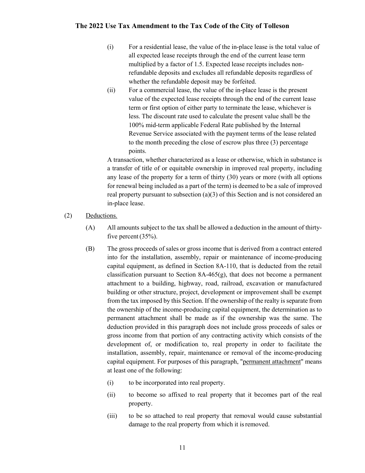- (i) For a residential lease, the value of the in-place lease is the total value of all expected lease receipts through the end of the current lease term multiplied by a factor of 1.5. Expected lease receipts includes nonrefundable deposits and excludes all refundable deposits regardless of whether the refundable deposit may be forfeited.
- (ii) For a commercial lease, the value of the in-place lease is the present value of the expected lease receipts through the end of the current lease term or first option of either party to terminate the lease, whichever is less. The discount rate used to calculate the present value shall be the 100% mid-term applicable Federal Rate published by the Internal Revenue Service associated with the payment terms of the lease related to the month preceding the close of escrow plus three (3) percentage points.

A transaction, whether characterized as a lease or otherwise, which in substance is a transfer of title of or equitable ownership in improved real property, including any lease of the property for a term of thirty (30) years or more (with all options for renewal being included as a part of the term) is deemed to be a sale of improved real property pursuant to subsection (a)(3) of this Section and is not considered an in-place lease.

- (2) Deductions.
	- (A) All amounts subject to the tax shall be allowed a deduction in the amount of thirtyfive percent  $(35%)$ .
	- (B) The gross proceeds of sales or gross income that is derived from a contract entered into for the installation, assembly, repair or maintenance of income-producing capital equipment, as defined in Section 8A-110, that is deducted from the retail classification pursuant to Section  $8A-465(g)$ , that does not become a permanent attachment to a building, highway, road, railroad, excavation or manufactured building or other structure, project, development or improvement shall be exempt from the tax imposed by this Section. If the ownership of the realty is separate from the ownership of the income-producing capital equipment, the determination as to permanent attachment shall be made as if the ownership was the same. The deduction provided in this paragraph does not include gross proceeds of sales or gross income from that portion of any contracting activity which consists of the development of, or modification to, real property in order to facilitate the installation, assembly, repair, maintenance or removal of the income-producing capital equipment. For purposes of this paragraph, "permanent attachment" means at least one of the following:
		- (i) to be incorporated into real property.
		- (ii) to become so affixed to real property that it becomes part of the real property.
		- (iii) to be so attached to real property that removal would cause substantial damage to the real property from which it isremoved.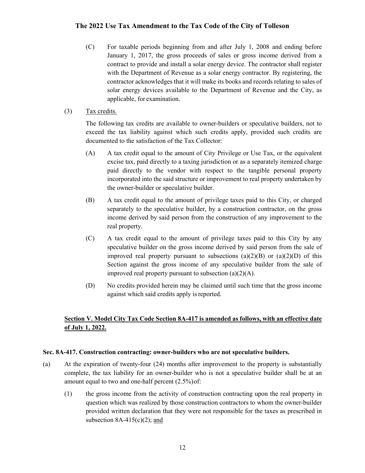- (C) For taxable periods beginning from and after July 1, 2008 and ending before January 1, 2017, the gross proceeds of sales or gross income derived from a contract to provide and install a solar energy device. The contractor shall register with the Department of Revenue as a solar energy contractor. By registering, the contractor acknowledges that it will make its books and records relating to sales of solar energy devices available to the Department of Revenue and the City, as applicable, for examination.
- (3) Tax credits.

The following tax credits are available to owner-builders or speculative builders, not to exceed the tax liability against which such credits apply, provided such credits are documented to the satisfaction of the Tax Collector:

- (A) A tax credit equal to the amount of City Privilege or Use Tax, or the equivalent excise tax, paid directly to a taxing jurisdiction or as a separately itemized charge paid directly to the vendor with respect to the tangible personal property incorporated into the said structure or improvement to real property undertaken by the owner-builder or speculative builder.
- (B) A tax credit equal to the amount of privilege taxes paid to this City, or charged separately to the speculative builder, by a construction contractor, on the gross income derived by said person from the construction of any improvement to the real property.
- (C) A tax credit equal to the amount of privilege taxes paid to this City by any speculative builder on the gross income derived by said person from the sale of improved real property pursuant to subsections  $(a)(2)(B)$  or  $(a)(2)(D)$  of this Section against the gross income of any speculative builder from the sale of improved real property pursuant to subsection  $(a)(2)(A)$ .
- (D) No credits provided herein may be claimed until such time that the gross income against which said credits apply is reported.

## **Section V. Model City Tax Code Section 8A-417 is amended as follows, with an effective date of July 1, 2022.**

#### **Sec. 8A-417. Construction contracting: owner-builders who are not speculative builders.**

- (a) At the expiration of twenty-four (24) months after improvement to the property is substantially complete, the tax liability for an owner-builder who is not a speculative builder shall be at an amount equal to two and one-half percent (2.5%)of:
	- (1) the gross income from the activity of construction contracting upon the real property in question which was realized by those construction contractors to whom the owner-builder provided written declaration that they were not responsible for the taxes as prescribed in subsection  $8A-415(c)(2)$ ; and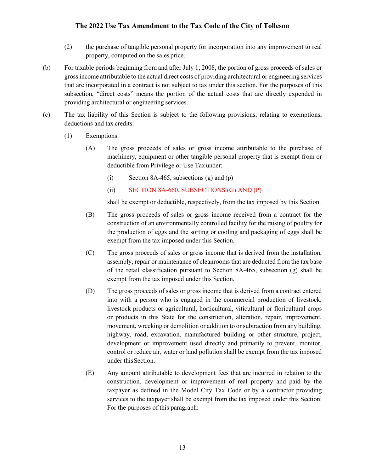- (2) the purchase of tangible personal property for incorporation into any improvement to real property, computed on the sales price.
- (b) For taxable periods beginning from and after July 1, 2008, the portion of gross proceeds of sales or gross income attributable to the actual direct costs of providing architectural or engineering services that are incorporated in a contract is not subject to tax under this section. For the purposes of this subsection, "direct costs" means the portion of the actual costs that are directly expended in providing architectural or engineering services.
- (c) The tax liability of this Section is subject to the following provisions, relating to exemptions, deductions and tax credits:
	- (1) Exemptions.
		- (A) The gross proceeds of sales or gross income attributable to the purchase of machinery, equipment or other tangible personal property that is exempt from or deductible from Privilege or Use Taxunder:
			- (i) Section 8A-465, subsections (g) and  $(p)$
			- (ii) SECTION 8A-660, SUBSECTIONS (G) AND (P)

shall be exempt or deductible, respectively, from the tax imposed by this Section.

- (B) The gross proceeds of sales or gross income received from a contract for the construction of an environmentally controlled facility for the raising of poultry for the production of eggs and the sorting or cooling and packaging of eggs shall be exempt from the tax imposed under this Section.
- (C) The gross proceeds of sales or gross income that is derived from the installation, assembly, repair or maintenance of cleanrooms that are deducted from the tax base of the retail classification pursuant to Section 8A-465, subsection (g) shall be exempt from the tax imposed under this Section.
- (D) The gross proceeds of sales or gross income that is derived from a contract entered into with a person who is engaged in the commercial production of livestock, livestock products or agricultural, horticultural, viticultural or floricultural crops or products in this State for the construction, alteration, repair, improvement, movement, wrecking or demolition or addition to or subtraction from any building, highway, road, excavation, manufactured building or other structure, project, development or improvement used directly and primarily to prevent, monitor, control or reduce air, water or land pollution shall be exempt from the tax imposed under this Section.
- (E) Any amount attributable to development fees that are incurred in relation to the construction, development or improvement of real property and paid by the taxpayer as defined in the Model City Tax Code or by a contractor providing services to the taxpayer shall be exempt from the tax imposed under this Section. For the purposes of this paragraph: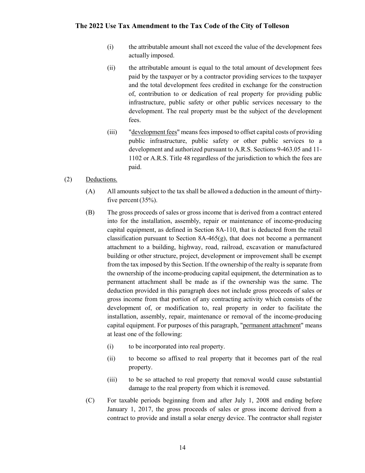- (i) the attributable amount shall not exceed the value of the development fees actually imposed.
- (ii) the attributable amount is equal to the total amount of development fees paid by the taxpayer or by a contractor providing services to the taxpayer and the total development fees credited in exchange for the construction of, contribution to or dedication of real property for providing public infrastructure, public safety or other public services necessary to the development. The real property must be the subject of the development fees.
- (iii) "development fees" meansfeesimposed to offset capital costs of providing public infrastructure, public safety or other public services to a development and authorized pursuant to A.R.S. Sections 9-463.05 and 11- 1102 or A.R.S. Title 48 regardless of the jurisdiction to which the fees are paid.

#### (2) Deductions.

- (A) All amounts subject to the tax shall be allowed a deduction in the amount of thirtyfive percent  $(35%)$ .
- (B) The gross proceeds of sales or gross income that is derived from a contract entered into for the installation, assembly, repair or maintenance of income-producing capital equipment, as defined in Section 8A-110, that is deducted from the retail classification pursuant to Section 8A-465(g), that does not become a permanent attachment to a building, highway, road, railroad, excavation or manufactured building or other structure, project, development or improvement shall be exempt from the tax imposed by this Section. If the ownership of the realty is separate from the ownership of the income-producing capital equipment, the determination as to permanent attachment shall be made as if the ownership was the same. The deduction provided in this paragraph does not include gross proceeds of sales or gross income from that portion of any contracting activity which consists of the development of, or modification to, real property in order to facilitate the installation, assembly, repair, maintenance or removal of the income-producing capital equipment. For purposes of this paragraph, "permanent attachment" means at least one of the following:
	- (i) to be incorporated into real property.
	- (ii) to become so affixed to real property that it becomes part of the real property.
	- (iii) to be so attached to real property that removal would cause substantial damage to the real property from which it isremoved.
- (C) For taxable periods beginning from and after July 1, 2008 and ending before January 1, 2017, the gross proceeds of sales or gross income derived from a contract to provide and install a solar energy device. The contractor shall register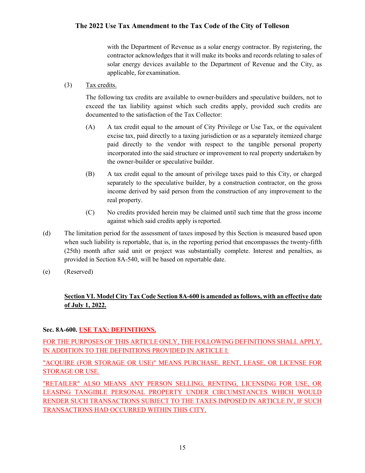with the Department of Revenue as a solar energy contractor. By registering, the contractor acknowledges that it will make its books and records relating to sales of solar energy devices available to the Department of Revenue and the City, as applicable, for examination.

(3) Tax credits.

The following tax credits are available to owner-builders and speculative builders, not to exceed the tax liability against which such credits apply, provided such credits are documented to the satisfaction of the Tax Collector:

- (A) A tax credit equal to the amount of City Privilege or Use Tax, or the equivalent excise tax, paid directly to a taxing jurisdiction or as a separately itemized charge paid directly to the vendor with respect to the tangible personal property incorporated into the said structure or improvement to real property undertaken by the owner-builder or speculative builder.
- (B) A tax credit equal to the amount of privilege taxes paid to this City, or charged separately to the speculative builder, by a construction contractor, on the gross income derived by said person from the construction of any improvement to the real property.
- (C) No credits provided herein may be claimed until such time that the gross income against which said credits apply is reported.
- (d) The limitation period for the assessment of taxes imposed by this Section is measured based upon when such liability is reportable, that is, in the reporting period that encompasses the twenty-fifth (25th) month after said unit or project was substantially complete. Interest and penalties, as provided in Section 8A-540, will be based on reportable date.
- (e) (Reserved)

## **Section VI. Model City Tax Code Section 8A-600 is amended as follows, with an effective date of July 1, 2022.**

## **Sec. 8A-600. USE TAX: DEFINITIONS.**

FOR THE PURPOSES OF THIS ARTICLE ONLY, THE FOLLOWING DEFINITIONS SHALL APPLY, IN ADDITION TO THE DEFINITIONS PROVIDED IN ARTICLE I:

### "ACQUIRE (FOR STORAGE OR USE)" MEANS PURCHASE, RENT, LEASE, OR LICENSE FOR STORAGE OR USE.

"RETAILER" ALSO MEANS ANY PERSON SELLING, RENTING, LICENSING FOR USE, OR LEASING TANGIBLE PERSONAL PROPERTY UNDER CIRCUMSTANCES WHICH WOULD RENDER SUCH TRANSACTIONS SUBJECT TO THE TAXES IMPOSED IN ARTICLE IV, IF SUCH TRANSACTIONS HAD OCCURRED WITHIN THIS CITY.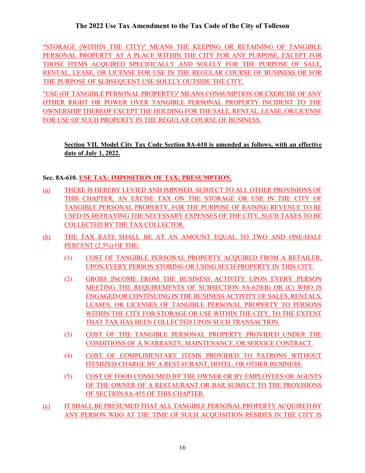"STORAGE (WITHIN THE CITY)" MEANS THE KEEPING OR RETAINING OF TANGIBLE PERSONAL PROPERTY AT A PLACE WITHIN THE CITY FOR ANY PURPOSE, EXCEPT FOR THOSE ITEMS ACQUIRED SPECIFICALLY AND SOLELY FOR THE PURPOSE OF SALE, RENTAL, LEASE, OR LICENSE FOR USE IN THE REGULAR COURSE OF BUSINESS OR FOR THE PURPOSE OF SUBSEQUENT USE SOLELY OUTSIDE THE CITY.

"USE (OF TANGIBLE PERSONAL PROPERTY)" MEANS CONSUMPTION OR EXERCISE OF ANY OTHER RIGHT OR POWER OVER TANGIBLE PERSONAL PROPERTY INCIDENT TO THE OWNERSHIP THEREOF EXCEPT THE HOLDING FOR THE SALE, RENTAL, LEASE, OR LICENSE FOR USE OF SUCH PROPERTY IN THE REGULAR COURSE OF BUSINESS.

## **Section VII. Model City Tax Code Section 8A-610 is amended as follows, with an effective date of July 1, 2022.**

## **Sec. 8A-610. USE TAX: IMPOSITION OF TAX; PRESUMPTION.**

- (a) THERE IS HEREBY LEVIED AND IMPOSED, SUBJECT TO ALL OTHER PROVISIONS OF THIS CHAPTER, AN EXCISE TAX ON THE STORAGE OR USE IN THE CITY OF TANGIBLE PERSONAL PROPERTY, FOR THE PURPOSE OF RAISING REVENUE TO BE USED IN DEFRAYING THE NECESSARY EXPENSES OF THE CITY, SUCH TAXES TO BE COLLECTED BY THE TAX COLLECTOR.
- (b) THE TAX RATE SHALL BE AT AN AMOUNT EQUAL TO TWO AND ONE-HALF PERCENT (2.5%) OF THE:
	- (1) COST OF TANGIBLE PERSONAL PROPERTY ACQUIRED FROM A RETAILER, UPON EVERY PERSON STORING OR USING SUCH PROPERTY IN THIS CITY.
	- (2) GROSS INCOME FROM THE BUSINESS ACTIVITY UPON EVERY PERSON MEETING THE REQUIREMENTS OF SUBSECTION 8A-620(B) OR (C) WHO IS ENGAGED OR CONTINUING IN THE BUSINESS ACTIVITY OF SALES, RENTALS, LEASES, OR LICENSES OF TANGIBLE PERSONAL PROPERTY TO PERSONS WITHIN THE CITY FOR STORAGE OR USE WITHIN THE CITY, TO THE EXTENT THAT TAX HAS BEEN COLLECTED UPON SUCH TRANSACTION.
	- (3) COST OF THE TANGIBLE PERSONAL PROPERTY PROVIDED UNDER THE CONDITIONS OF A WARRANTY, MAINTENANCE, OR SERVICE CONTRACT.
	- (4) COST OF COMPLIMENTARY ITEMS PROVIDED TO PATRONS WITHOUT ITEMIZED CHARGE BY A RESTAURANT, HOTEL, OR OTHER BUSINESS.
	- (5) COST OF FOOD CONSUMED BY THE OWNER OR BY EMPLOYEES OR AGENTS OF THE OWNER OF A RESTAURANT OR BAR SUBJECT TO THE PROVISIONS OF SECTION 8A-455 OF THIS CHAPTER.
- (c) IT SHALL BE PRESUMED THAT ALL TANGIBLE PERSONAL PROPERTY ACQUIRED BY ANY PERSON WHO AT THE TIME OF SUCH ACQUISITION RESIDES IN THE CITY IS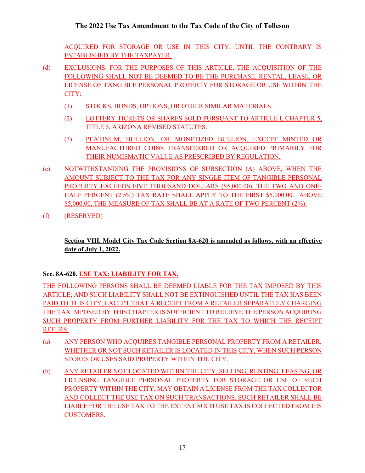ACQUIRED FOR STORAGE OR USE IN THIS CITY, UNTIL THE CONTRARY IS ESTABLISHED BY THE TAXPAYER.

- (d) EXCLUSIONS. FOR THE PURPOSES OF THIS ARTICLE, THE ACQUISITION OF THE FOLLOWING SHALL NOT BE DEEMED TO BE THE PURCHASE, RENTAL, LEASE, OR LICENSE OF TANGIBLE PERSONAL PROPERTY FOR STORAGE OR USE WITHIN THE CITY:
	- (1) STOCKS, BONDS, OPTIONS, OR OTHER SIMILAR MATERIALS.
	- (2) LOTTERY TICKETS OR SHARES SOLD PURSUANT TO ARTICLE I, CHAPTER 5, TITLE 5, ARIZONA REVISED STATUTES.
	- (3) PLATINUM, BULLION, OR MONETIZED BULLION, EXCEPT MINTED OR MANUFACTURED COINS TRANSFERRED OR ACQUIRED PRIMARILY FOR THEIR NUMISMATIC VALUE AS PRESCRIBED BY REGULATION.
- (e) NOTWITHSTANDING THE PROVISIONS OF SUBSECTION (A) ABOVE, WHEN THE AMOUNT SUBJECT TO THE TAX FOR ANY SINGLE ITEM OF TANGIBLE PERSONAL PROPERTY EXCEEDS FIVE THOUSAND DOLLARS (\$5,000.00), THE TWO AND ONE-HALF PERCENT (2.5%) TAX RATE SHALL APPLY TO THE FIRST \$5,000.00. ABOVE \$5,000.00, THE MEASURE OF TAX SHALL BE AT A RATE OF TWO PERCENT (2%).
- (f) (RESERVED)

**Section VIII. Model City Tax Code Section 8A-620 is amended as follows, with an effective date of July 1, 2022.**

## **Sec. 8A-620. USE TAX: LIABILITY FOR TAX.**

THE FOLLOWING PERSONS SHALL BE DEEMED LIABLE FOR THE TAX IMPOSED BY THIS ARTICLE; AND SUCH LIABILITY SHALL NOT BE EXTINGUISHED UNTIL THE TAX HAS BEEN PAID TO THIS CITY, EXCEPT THAT A RECEIPT FROM A RETAILER SEPARATELY CHARGING THE TAX IMPOSED BY THIS CHAPTER IS SUFFICIENT TO RELIEVE THE PERSON ACQUIRING SUCH PROPERTY FROM FURTHER LIABILITY FOR THE TAX TO WHICH THE RECEIPT REFERS:

- (a) ANY PERSON WHO ACQUIRES TANGIBLE PERSONAL PROPERTY FROM A RETAILER, WHETHER OR NOT SUCH RETAILER IS LOCATED IN THIS CITY, WHEN SUCH PERSON STORES OR USES SAID PROPERTY WITHIN THE CITY.
- (b) ANY RETAILER NOT LOCATED WITHIN THE CITY, SELLING, RENTING, LEASING, OR LICENSING TANGIBLE PERSONAL PROPERTY FOR STORAGE OR USE OF SUCH PROPERTY WITHIN THE CITY, MAY OBTAIN A LICENSE FROM THE TAX COLLECTOR AND COLLECT THE USE TAX ON SUCH TRANSACTIONS. SUCH RETAILER SHALL BE LIABLE FOR THE USE TAX TO THE EXTENT SUCH USE TAX IS COLLECTED FROM HIS CUSTOMERS.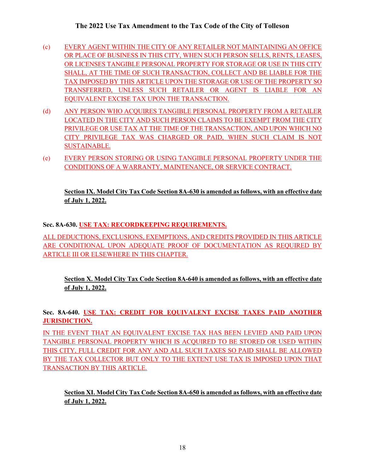- (c) EVERY AGENT WITHIN THE CITY OF ANY RETAILER NOT MAINTAINING AN OFFICE OR PLACE OF BUSINESS IN THIS CITY, WHEN SUCH PERSON SELLS, RENTS, LEASES, OR LICENSES TANGIBLE PERSONAL PROPERTY FOR STORAGE OR USE IN THIS CITY SHALL, AT THE TIME OF SUCH TRANSACTION, COLLECT AND BE LIABLE FOR THE TAX IMPOSED BY THIS ARTICLE UPON THE STORAGE OR USE OF THE PROPERTY SO TRANSFERRED, UNLESS SUCH RETAILER OR AGENT IS LIABLE FOR AN EQUIVALENT EXCISE TAX UPON THE TRANSACTION.
- (d) ANY PERSON WHO ACQUIRES TANGIBLE PERSONAL PROPERTY FROM A RETAILER LOCATED IN THE CITY AND SUCH PERSON CLAIMS TO BE EXEMPT FROM THE CITY PRIVILEGE OR USE TAX AT THE TIME OF THE TRANSACTION, AND UPON WHICH NO CITY PRIVILEGE TAX WAS CHARGED OR PAID, WHEN SUCH CLAIM IS NOT SUSTAINABLE.
- (e) EVERY PERSON STORING OR USING TANGIBLE PERSONAL PROPERTY UNDER THE CONDITIONS OF A WARRANTY, MAINTENANCE, OR SERVICE CONTRACT.

## **Section IX. Model City Tax Code Section 8A-630 is amended as follows, with an effective date of July 1, 2022.**

## **Sec. 8A-630. USE TAX: RECORDKEEPING REQUIREMENTS.**

ALL DEDUCTIONS, EXCLUSIONS, EXEMPTIONS, AND CREDITS PROVIDED IN THIS ARTICLE ARE CONDITIONAL UPON ADEQUATE PROOF OF DOCUMENTATION AS REQUIRED BY ARTICLE III OR ELSEWHERE IN THIS CHAPTER.

**Section X. Model City Tax Code Section 8A-640 is amended as follows, with an effective date of July 1, 2022.**

## **Sec. 8A-640. USE TAX: CREDIT FOR EQUIVALENT EXCISE TAXES PAID ANOTHER JURISDICTION.**

IN THE EVENT THAT AN EQUIVALENT EXCISE TAX HAS BEEN LEVIED AND PAID UPON TANGIBLE PERSONAL PROPERTY WHICH IS ACQUIRED TO BE STORED OR USED WITHIN THIS CITY, FULL CREDIT FOR ANY AND ALL SUCH TAXES SO PAID SHALL BE ALLOWED BY THE TAX COLLECTOR BUT ONLY TO THE EXTENT USE TAX IS IMPOSED UPON THAT TRANSACTION BY THIS ARTICLE.

## **Section XI. Model City Tax Code Section 8A-650 is amended as follows, with an effective date of July 1, 2022.**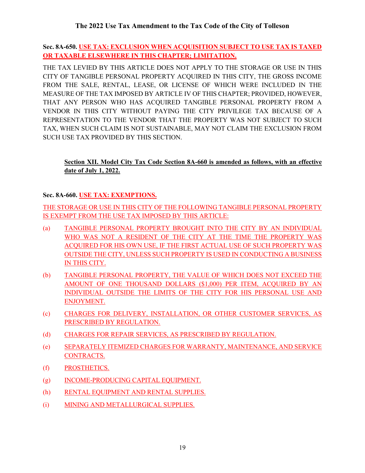**Sec. 8A-650. USE TAX: EXCLUSION WHEN ACQUISITION SUBJECT TO USE TAX IS TAXED OR TAXABLE ELSEWHERE IN THIS CHAPTER; LIMITATION.**

THE TAX LEVIED BY THIS ARTICLE DOES NOT APPLY TO THE STORAGE OR USE IN THIS CITY OF TANGIBLE PERSONAL PROPERTY ACQUIRED IN THIS CITY, THE GROSS INCOME FROM THE SALE, RENTAL, LEASE, OR LICENSE OF WHICH WERE INCLUDED IN THE MEASURE OF THE TAX IMPOSED BY ARTICLE IV OF THIS CHAPTER; PROVIDED, HOWEVER, THAT ANY PERSON WHO HAS ACQUIRED TANGIBLE PERSONAL PROPERTY FROM A VENDOR IN THIS CITY WITHOUT PAYING THE CITY PRIVILEGE TAX BECAUSE OF A REPRESENTATION TO THE VENDOR THAT THE PROPERTY WAS NOT SUBJECT TO SUCH TAX, WHEN SUCH CLAIM IS NOT SUSTAINABLE, MAY NOT CLAIM THE EXCLUSION FROM SUCH USE TAX PROVIDED BY THIS SECTION.

## **Section XII. Model City Tax Code Section 8A-660 is amended as follows, with an effective date of July 1, 2022.**

## **Sec. 8A-660. USE TAX: EXEMPTIONS.**

THE STORAGE OR USE IN THIS CITY OF THE FOLLOWING TANGIBLE PERSONAL PROPERTY IS EXEMPT FROM THE USE TAX IMPOSED BY THIS ARTICLE:

- (a) TANGIBLE PERSONAL PROPERTY BROUGHT INTO THE CITY BY AN INDIVIDUAL WHO WAS NOT A RESIDENT OF THE CITY AT THE TIME THE PROPERTY WAS ACQUIRED FOR HIS OWN USE, IF THE FIRST ACTUAL USE OF SUCH PROPERTY WAS OUTSIDE THE CITY, UNLESS SUCH PROPERTY IS USED IN CONDUCTING A BUSINESS IN THIS CITY.
- (b) TANGIBLE PERSONAL PROPERTY, THE VALUE OF WHICH DOES NOT EXCEED THE AMOUNT OF ONE THOUSAND DOLLARS (\$1,000) PER ITEM, ACQUIRED BY AN INDIVIDUAL OUTSIDE THE LIMITS OF THE CITY FOR HIS PERSONAL USE AND ENJOYMENT.
- (c) CHARGES FOR DELIVERY, INSTALLATION, OR OTHER CUSTOMER SERVICES, AS PRESCRIBED BY REGULATION.
- (d) CHARGES FOR REPAIR SERVICES, AS PRESCRIBED BY REGULATION.
- (e) SEPARATELY ITEMIZED CHARGES FOR WARRANTY, MAINTENANCE, AND SERVICE CONTRACTS.
- (f) PROSTHETICS.
- (g) INCOME-PRODUCING CAPITAL EQUIPMENT.
- (h) RENTAL EQUIPMENT AND RENTAL SUPPLIES.
- (i) MINING AND METALLURGICAL SUPPLIES.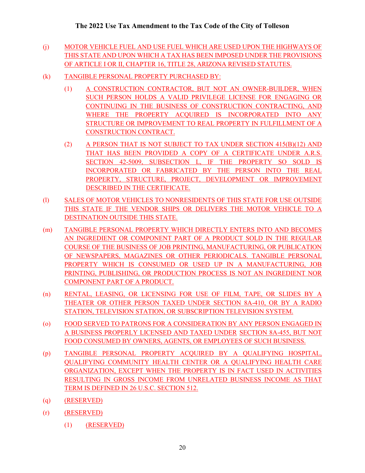- (j) MOTOR VEHICLE FUEL AND USE FUEL WHICH ARE USED UPON THE HIGHWAYS OF THIS STATE AND UPON WHICH A TAX HAS BEEN IMPOSED UNDER THE PROVISIONS OF ARTICLE I OR II, CHAPTER 16[, TITLE 28,](http://www.azleg.gov/ArizonaRevisedStatutes.asp?Title=28) ARIZONA REVISED STATUTES.
- (k) TANGIBLE PERSONAL PROPERTY PURCHASED BY:
	- (1) A CONSTRUCTION CONTRACTOR, BUT NOT AN OWNER-BUILDER, WHEN SUCH PERSON HOLDS A VALID PRIVILEGE LICENSE FOR ENGAGING OR CONTINUING IN THE BUSINESS OF CONSTRUCTION CONTRACTING, AND WHERE THE PROPERTY ACQUIRED IS INCORPORATED INTO ANY STRUCTURE OR IMPROVEMENT TO REAL PROPERTY IN FULFILLMENT OF A CONSTRUCTION CONTRACT.
	- (2) A PERSON THAT IS NOT SUBJECT TO TAX UNDER SECTION 415(B)(12) AND THAT HAS BEEN PROVIDED A COPY OF A CERTIFICATE UNDER A.R.S. SECTION 42-5009, SUBSECTION L, IF THE PROPERTY SO SOLD IS INCORPORATED OR FABRICATED BY THE PERSON INTO THE REAL PROPERTY, STRUCTURE, PROJECT, DEVELOPMENT OR IMPROVEMENT DESCRIBED IN THE CERTIFICATE.
- (l) SALES OF MOTOR VEHICLES TO NONRESIDENTS OF THIS STATE FOR USE OUTSIDE THIS STATE IF THE VENDOR SHIPS OR DELIVERS THE MOTOR VEHICLE TO A DESTINATION OUTSIDE THIS STATE.
- (m) TANGIBLE PERSONAL PROPERTY WHICH DIRECTLY ENTERS INTO AND BECOMES AN INGREDIENT OR COMPONENT PART OF A PRODUCT SOLD IN THE REGULAR COURSE OF THE BUSINESS OF JOB PRINTING, MANUFACTURING, OR PUBLICATION OF NEWSPAPERS, MAGAZINES OR OTHER PERIODICALS. TANGIBLE PERSONAL PROPERTY WHICH IS CONSUMED OR USED UP IN A MANUFACTURING, JOB PRINTING, PUBLISHING, OR PRODUCTION PROCESS IS NOT AN INGREDIENT NOR COMPONENT PART OF A PRODUCT.
- (n) RENTAL, LEASING, OR LICENSING FOR USE OF FILM, TAPE, OR SLIDES BY A THEATER OR OTHER PERSON TAXED UNDER SECTION 8A-410, OR BY A RADIO STATION, TELEVISION STATION, OR SUBSCRIPTION TELEVISION SYSTEM.
- (o) FOOD SERVED TO PATRONS FOR A CONSIDERATION BY ANY PERSON ENGAGED IN A BUSINESS PROPERLY LICENSED AND TAXED UNDER SECTION 8A-455, BUT NOT FOOD CONSUMED BY OWNERS, AGENTS, OR EMPLOYEES OF SUCH BUSINESS.
- (p) TANGIBLE PERSONAL PROPERTY ACQUIRED BY A QUALIFYING HOSPITAL, QUALIFYING COMMUNITY HEALTH CENTER OR A QUALIFYING HEALTH CARE ORGANIZATION, EXCEPT WHEN THE PROPERTY IS IN FACT USED IN ACTIVITIES RESULTING IN GROSS INCOME FROM UNRELATED BUSINESS INCOME AS THAT TERM IS DEFINED IN 26 U.S.C. SECTION 512.
- (q) (RESERVED)
- (r) (RESERVED)
	- (1) (RESERVED)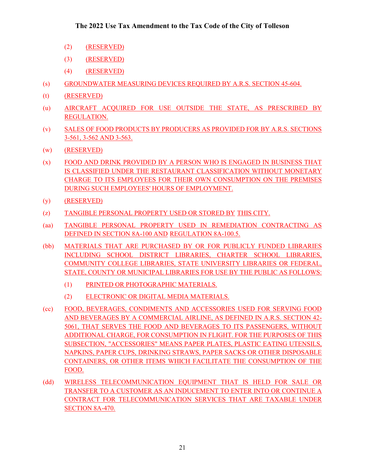- (2) (RESERVED)
- (3) (RESERVED)
- (4) (RESERVED)
- (s) GROUNDWATER MEASURING DEVICES REQUIRED BY A.R.S. SECTION 45-604.
- (t) (RESERVED)
- (u) AIRCRAFT ACQUIRED FOR USE OUTSIDE THE STATE, AS PRESCRIBED BY REGULATION.
- (v) SALES OF FOOD PRODUCTS BY PRODUCERS AS PROVIDED FOR BY A.R.S. SECTIONS 3-561, 3-562 AND 3-563.
- (w) (RESERVED)
- (x) FOOD AND DRINK PROVIDED BY A PERSON WHO IS ENGAGED IN BUSINESS THAT IS CLASSIFIED UNDER THE RESTAURANT CLASSIFICATION WITHOUT MONETARY CHARGE TO ITS EMPLOYEES FOR THEIR OWN CONSUMPTION ON THE PREMISES DURING SUCH EMPLOYEES' HOURS OF EMPLOYMENT.
- (y) (RESERVED)
- (z) TANGIBLE PERSONAL PROPERTY USED OR STORED BY THIS CITY.
- (aa) TANGIBLE PERSONAL PROPERTY USED IN REMEDIATION CONTRACTING AS DEFINED IN SECTION 8A-100 AND REGULATION 8A-100.5.
- (bb) MATERIALS THAT ARE PURCHASED BY OR FOR PUBLICLY FUNDED LIBRARIES INCLUDING SCHOOL DISTRICT LIBRARIES, CHARTER SCHOOL LIBRARIES, COMMUNITY COLLEGE LIBRARIES, STATE UNIVERSITY LIBRARIES OR FEDERAL, STATE, COUNTY OR MUNICIPAL LIBRARIES FOR USE BY THE PUBLIC AS FOLLOWS:
	- (1) PRINTED OR PHOTOGRAPHIC MATERIALS.
	- (2) ELECTRONIC OR DIGITAL MEDIA MATERIALS.
- (cc) FOOD, BEVERAGES, CONDIMENTS AND ACCESSORIES USED FOR SERVING FOOD AND BEVERAGES BY A COMMERCIAL AIRLINE, AS DEFINED IN A.R.S. SECTION 42- 5061, THAT SERVES THE FOOD AND BEVERAGES TO ITS PASSENGERS, WITHOUT ADDITIONAL CHARGE, FOR CONSUMPTION IN FLIGHT. FOR THE PURPOSES OF THIS SUBSECTION, "ACCESSORIES" MEANS PAPER PLATES, PLASTIC EATING UTENSILS, NAPKINS, PAPER CUPS, DRINKING STRAWS, PAPER SACKS OR OTHER DISPOSABLE CONTAINERS, OR OTHER ITEMS WHICH FACILITATE THE CONSUMPTION OF THE FOOD.
- (dd) WIRELESS TELECOMMUNICATION EQUIPMENT THAT IS HELD FOR SALE OR TRANSFER TO A CUSTOMER AS AN INDUCEMENT TO ENTER INTO OR CONTINUE A CONTRACT FOR TELECOMMUNICATION SERVICES THAT ARE TAXABLE UNDER SECTION 8A-470.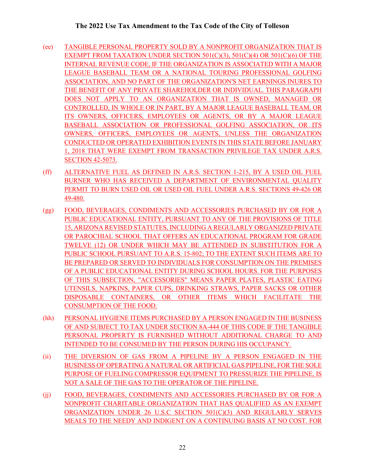- (ee) TANGIBLE PERSONAL PROPERTY SOLD BY A NONPROFIT ORGANIZATION THAT IS EXEMPT FROM TAXATION UNDER SECTION 501(C)(3), 501(C)(4) OR 501(C)(6) OF THE INTERNAL REVENUE CODE, IF THE ORGANIZATION IS ASSOCIATED WITH A MAJOR LEAGUE BASEBALL TEAM OR A NATIONAL TOURING PROFESSIONAL GOLFING ASSOCIATION, AND NO PART OF THE ORGANIZATION'S NET EARNINGS INURES TO THE BENEFIT OF ANY PRIVATE SHAREHOLDER OR INDIVIDUAL. THIS PARAGRAPH DOES NOT APPLY TO AN ORGANIZATION THAT IS OWNED, MANAGED OR CONTROLLED, IN WHOLE OR IN PART, BY A MAJOR LEAGUE BASEBALL TEAM, OR ITS OWNERS, OFFICERS, EMPLOYEES OR AGENTS, OR BY A MAJOR LEAGUE BASEBALL ASSOCIATION OR PROFESSIONAL GOLFING ASSOCIATION, OR ITS OWNERS, OFFICERS, EMPLOYEES OR AGENTS, UNLESS THE ORGANIZATION CONDUCTED OR OPERATED EXHIBITION EVENTS IN THIS STATE BEFORE JANUARY 1, 2018 THAT WERE EXEMPT FROM TRANSACTION PRIVILEGE TAX UNDER A.R.S. SECTION 42-5073.
- (ff) ALTERNATIVE FUEL AS DEFINED IN A.R.S. SECTION 1-215, BY A USED OIL FUEL BURNER WHO HAS RECEIVED A DEPARTMENT OF ENVIRONMENTAL QUALITY PERMIT TO BURN USED OIL OR USED OIL FUEL UNDER A.R.S. SECTIONS 49-426 OR 49-480.
- (gg) FOOD, BEVERAGES, CONDIMENTS AND ACCESSORIES PURCHASED BY OR FOR A PUBLIC EDUCATIONAL ENTITY, PURSUANT TO ANY OF THE PROVISIONS OF TITLE 15, ARIZONA REVISED STATUTES, INCLUDING A REGULARLY ORGANIZED PRIVATE OR PAROCHIAL SCHOOL THAT OFFERS AN EDUCATIONAL PROGRAM FOR GRADE TWELVE (12) OR UNDER WHICH MAY BE ATTENDED IN SUBSTITUTION FOR A PUBLIC SCHOOL PURSUANT TO A.R.S. 15-802; TO THE EXTENT SUCH ITEMS ARE TO BE PREPARED OR SERVED TO INDIVIDUALS FOR CONSUMPTION ON THE PREMISES OF A PUBLIC EDUCATIONAL ENTITY DURING SCHOOL HOURS. FOR THE PURPOSES OF THIS SUBSECTION, "ACCESSORIES" MEANS PAPER PLATES, PLASTIC EATING UTENSILS, NAPKINS, PAPER CUPS, DRINKING STRAWS, PAPER SACKS OR OTHER DISPOSABLE CONTAINERS, OR OTHER ITEMS WHICH FACILITATE THE CONSUMPTION OF THE FOOD.
- (hh) PERSONAL HYGIENE ITEMS PURCHASED BY A PERSON ENGAGED IN THE BUSINESS OF AND SUBJECT TO TAX UNDER SECTION 8A-444 OF THIS CODE IF THE TANGIBLE PERSONAL PROPERTY IS FURNISHED WITHOUT ADDITIONAL CHARGE TO AND INTENDED TO BE CONSUMED BY THE PERSON DURING HIS OCCUPANCY.
- (ii) THE DIVERSION OF GAS FROM A PIPELINE BY A PERSON ENGAGED IN THE BUSINESS OF OPERATING A NATURAL OR ARTIFICIAL GAS PIPELINE, FOR THE SOLE PURPOSE OF FUELING COMPRESSOR EQUIPMENT TO PRESSURIZE THE PIPELINE, IS NOT A SALE OF THE GAS TO THE OPERATOR OF THE PIPELINE.
- (ii) FOOD, BEVERAGES, CONDIMENTS AND ACCESSORIES PURCHASED BY OR FOR A NONPROFIT CHARITABLE ORGANIZATION THAT HAS QUALIFIED AS AN EXEMPT ORGANIZATION UNDER 26 U.S.C SECTION 501(C)(3) AND REGULARLY SERVES MEALS TO THE NEEDY AND INDIGENT ON A CONTINUING BASIS AT NO COST. FOR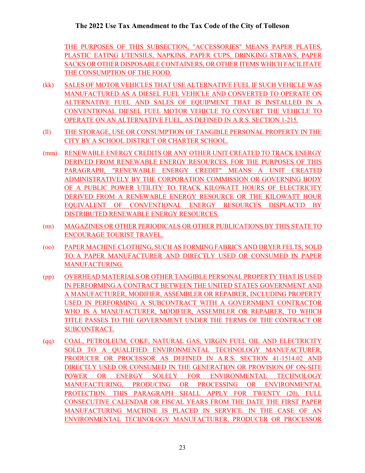THE PURPOSES OF THIS SUBSECTION, "ACCESSORIES" MEANS PAPER PLATES, PLASTIC EATING UTENSILS, NAPKINS, PAPER CUPS, DRINKING STRAWS, PAPER SACKS OR OTHER DISPOSABLE CONTAINERS, OR OTHER ITEMS WHICH FACILITATE THE CONSUMPTION OF THE FOOD.

- (kk) SALES OF MOTOR VEHICLES THAT USE ALTERNATIVE FUEL IF SUCH VEHICLE WAS MANUFACTURED AS A DIESEL FUEL VEHICLE AND CONVERTED TO OPERATE ON ALTERNATIVE FUEL AND SALES OF EQUIPMENT THAT IS INSTALLED IN A CONVENTIONAL DIESEL FUEL MOTOR VEHICLE TO CONVERT THE VEHICLE TO OPERATE ON AN ALTERNATIVE FUEL, AS DEFINED IN A.R.S. SECTION 1-215.
- (ll) THE STORAGE, USE OR CONSUMPTION OF TANGIBLE PERSONAL PROPERTY IN THE CITY BY A SCHOOL DISTRICT OR CHARTER SCHOOL.
- (mm) RENEWABLE ENERGY CREDITS OR ANY OTHER UNIT CREATED TO TRACK ENERGY DERIVED FROM RENEWABLE ENERGY RESOURCES. FOR THE PURPOSES OF THIS PARAGRAPH, "RENEWABLE ENERGY CREDIT" MEANS A UNIT CREATED ADMINISTRATIVELY BY THE CORPORATION COMMISSION OR GOVERNING BODY OF A PUBLIC POWER UTILITY TO TRACK KILOWATT HOURS OF ELECTRICITY DERIVED FROM A RENEWABLE ENERGY RESOURCE OR THE KILOWATT HOUR EQUIVALENT OF CONVENTIONAL ENERGY RESOURCES DISPLACED BY DISTRIBUTED RENEWABLE ENERGY RESOURCES.
- (nn) MAGAZINES OR OTHER PERIODICALS OR OTHER PUBLICATIONS BY THIS STATE TO ENCOURAGE TOURIST TRAVEL.
- (oo) PAPER MACHINE CLOTHING, SUCH AS FORMING FABRICS AND DRYER FELTS, SOLD TO A PAPER MANUFACTURER AND DIRECTLY USED OR CONSUMED IN PAPER MANUFACTURING.
- (pp) OVERHEAD MATERIALS OR OTHER TANGIBLE PERSONAL PROPERTY THAT IS USED IN PERFORMING A CONTRACT BETWEEN THE UNITED STATES GOVERNMENT AND A MANUFACTURER, MODIFIER, ASSEMBLER OR REPAIRER, INCLUDING PROPERTY USED IN PERFORMING A SUBCONTRACT WITH A GOVERNMENT CONTRACTOR WHO IS A MANUFACTURER, MODIFIER, ASSEMBLER OR REPAIRER, TO WHICH TITLE PASSES TO THE GOVERNMENT UNDER THE TERMS OF THE CONTRACT OR SUBCONTRACT.
- (qq) COAL, PETROLEUM, COKE, NATURAL GAS, VIRGIN FUEL OIL AND ELECTRICITY SOLD TO A QUALIFIED ENVIRONMENTAL TECHNOLOGY MANUFACTURER, PRODUCER OR PROCESSOR AS DEFINED IN A.R.S. SECTION 41-1514.02 AND DIRECTLY USED OR CONSUMED IN THE GENERATION OR PROVISION OF ON-SITE POWER OR ENERGY SOLELY FOR ENVIRONMENTAL TECHNOLOGY MANUFACTURING, PRODUCING OR PROCESSING OR ENVIRONMENTAL PROTECTION. THIS PARAGRAPH SHALL APPLY FOR TWENTY (20), FULL CONSECUTIVE CALENDAR OR FISCAL YEARS FROM THE DATE THE FIRST PAPER MANUFACTURING MACHINE IS PLACED IN SERVICE. IN THE CASE OF AN ENVIRONMENTAL TECHNOLOGY MANUFACTURER, PRODUCER OR PROCESSOR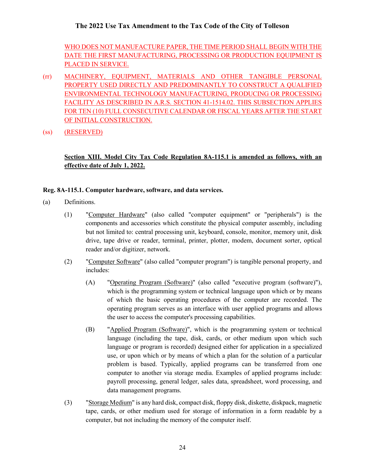WHO DOES NOT MANUFACTURE PAPER, THE TIME PERIOD SHALL BEGIN WITH THE DATE THE FIRST MANUFACTURING, PROCESSING OR PRODUCTION EQUIPMENT IS PLACED IN SERVICE.

- (rr) MACHINERY, EQUIPMENT, MATERIALS AND OTHER TANGIBLE PERSONAL PROPERTY USED DIRECTLY AND PREDOMINANTLY TO CONSTRUCT A QUALIFIED ENVIRONMENTAL TECHNOLOGY MANUFACTURING, PRODUCING OR PROCESSING FACILITY AS DESCRIBED IN A.R.S. SECTION 41-1514.02. THIS SUBSECTION APPLIES FOR TEN (10) FULL CONSECUTIVE CALENDAR OR FISCAL YEARS AFTER THE START OF INITIAL CONSTRUCTION.
- (ss) (RESERVED)

## **Section XIII. Model City Tax Code Regulation 8A-115.1 is amended as follows, with an effective date of July 1, 2022.**

### **Reg. 8A-115.1. Computer hardware, software, and data services.**

- (a) Definitions.
	- (1) "Computer Hardware" (also called "computer equipment" or "peripherals") is the components and accessories which constitute the physical computer assembly, including but not limited to: central processing unit, keyboard, console, monitor, memory unit, disk drive, tape drive or reader, terminal, printer, plotter, modem, document sorter, optical reader and/or digitizer, network.
	- (2) "Computer Software" (also called "computer program") is tangible personal property, and includes:
		- (A) "Operating Program (Software)" (also called "executive program (software)"), which is the programming system or technical language upon which or by means of which the basic operating procedures of the computer are recorded. The operating program serves as an interface with user applied programs and allows the user to access the computer's processing capabilities.
		- (B) "Applied Program (Software)", which is the programming system or technical language (including the tape, disk, cards, or other medium upon which such language or program is recorded) designed either for application in a specialized use, or upon which or by means of which a plan for the solution of a particular problem is based. Typically, applied programs can be transferred from one computer to another via storage media. Examples of applied programs include: payroll processing, general ledger, sales data, spreadsheet, word processing, and data management programs.
	- (3) "Storage Medium" is any hard disk, compact disk, floppy disk, diskette, diskpack, magnetic tape, cards, or other medium used for storage of information in a form readable by a computer, but not including the memory of the computer itself.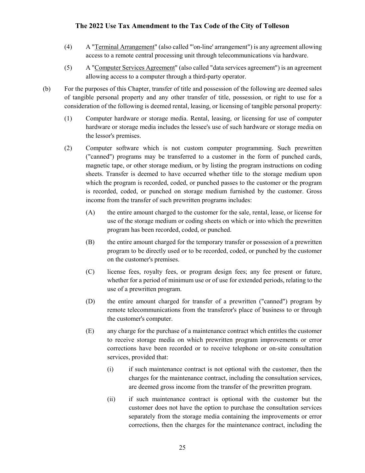- (4) A "Terminal Arrangement" (also called "'on-line' arrangement") is any agreement allowing access to a remote central processing unit through telecommunications via hardware.
- (5) A "Computer Services Agreement" (also called "data services agreement") is an agreement allowing access to a computer through a third-party operator.
- (b) For the purposes of this Chapter, transfer of title and possession of the following are deemed sales of tangible personal property and any other transfer of title, possession, or right to use for a consideration of the following is deemed rental, leasing, or licensing of tangible personal property:
	- (1) Computer hardware or storage media. Rental, leasing, or licensing for use of computer hardware or storage media includes the lessee's use of such hardware or storage media on the lessor's premises.
	- (2) Computer software which is not custom computer programming. Such prewritten ("canned") programs may be transferred to a customer in the form of punched cards, magnetic tape, or other storage medium, or by listing the program instructions on coding sheets. Transfer is deemed to have occurred whether title to the storage medium upon which the program is recorded, coded, or punched passes to the customer or the program is recorded, coded, or punched on storage medium furnished by the customer. Gross income from the transfer of such prewritten programs includes:
		- (A) the entire amount charged to the customer for the sale, rental, lease, or license for use of the storage medium or coding sheets on which or into which the prewritten program has been recorded, coded, or punched.
		- (B) the entire amount charged for the temporary transfer or possession of a prewritten program to be directly used or to be recorded, coded, or punched by the customer on the customer's premises.
		- (C) license fees, royalty fees, or program design fees; any fee present or future, whether for a period of minimum use or of use for extended periods, relating to the use of a prewritten program.
		- (D) the entire amount charged for transfer of a prewritten ("canned") program by remote telecommunications from the transferor's place of business to or through the customer's computer.
		- (E) any charge for the purchase of a maintenance contract which entitles the customer to receive storage media on which prewritten program improvements or error corrections have been recorded or to receive telephone or on-site consultation services, provided that:
			- (i) if such maintenance contract is not optional with the customer, then the charges for the maintenance contract, including the consultation services, are deemed gross income from the transfer of the prewritten program.
			- (ii) if such maintenance contract is optional with the customer but the customer does not have the option to purchase the consultation services separately from the storage media containing the improvements or error corrections, then the charges for the maintenance contract, including the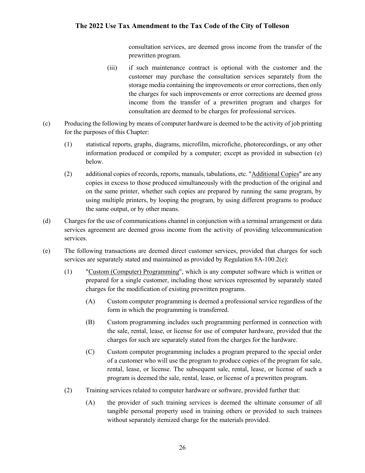consultation services, are deemed gross income from the transfer of the prewritten program.

- (iii) if such maintenance contract is optional with the customer and the customer may purchase the consultation services separately from the storage media containing the improvements or error corrections, then only the charges for such improvements or error corrections are deemed gross income from the transfer of a prewritten program and charges for consultation are deemed to be charges for professional services.
- (c) Producing the following by means of computer hardware is deemed to be the activity of job printing for the purposes of this Chapter:
	- (1) statistical reports, graphs, diagrams, microfilm, microfiche, photorecordings, or any other information produced or compiled by a computer; except as provided in subsection (e) below.
	- (2) additional copies of records, reports, manuals, tabulations, etc. "Additional Copies" are any copies in excess to those produced simultaneously with the production of the original and on the same printer, whether such copies are prepared by running the same program, by using multiple printers, by looping the program, by using different programs to produce the same output, or by other means.
- (d) Charges for the use of communications channel in conjunction with a terminal arrangement or data services agreement are deemed gross income from the activity of providing telecommunication services.
- (e) The following transactions are deemed direct customer services, provided that charges for such services are separately stated and maintained as provided by Regulation 8A-100.2(e):
	- (1) "Custom (Computer) Programming", which is any computer software which is written or prepared for a single customer, including those services represented by separately stated charges for the modification of existing prewritten programs.
		- (A) Custom computer programming is deemed a professional service regardless of the form in which the programming is transferred.
		- (B) Custom programming includes such programming performed in connection with the sale, rental, lease, or license for use of computer hardware, provided that the charges for such are separately stated from the charges for the hardware.
		- (C) Custom computer programming includes a program prepared to the special order of a customer who will use the program to produce copies of the program for sale, rental, lease, or license. The subsequent sale, rental, lease, or license of such a program is deemed the sale, rental, lease, or license of a prewritten program.
	- (2) Training services related to computer hardware or software, provided further that:
		- (A) the provider of such training services is deemed the ultimate consumer of all tangible personal property used in training others or provided to such trainees without separately itemized charge for the materials provided.